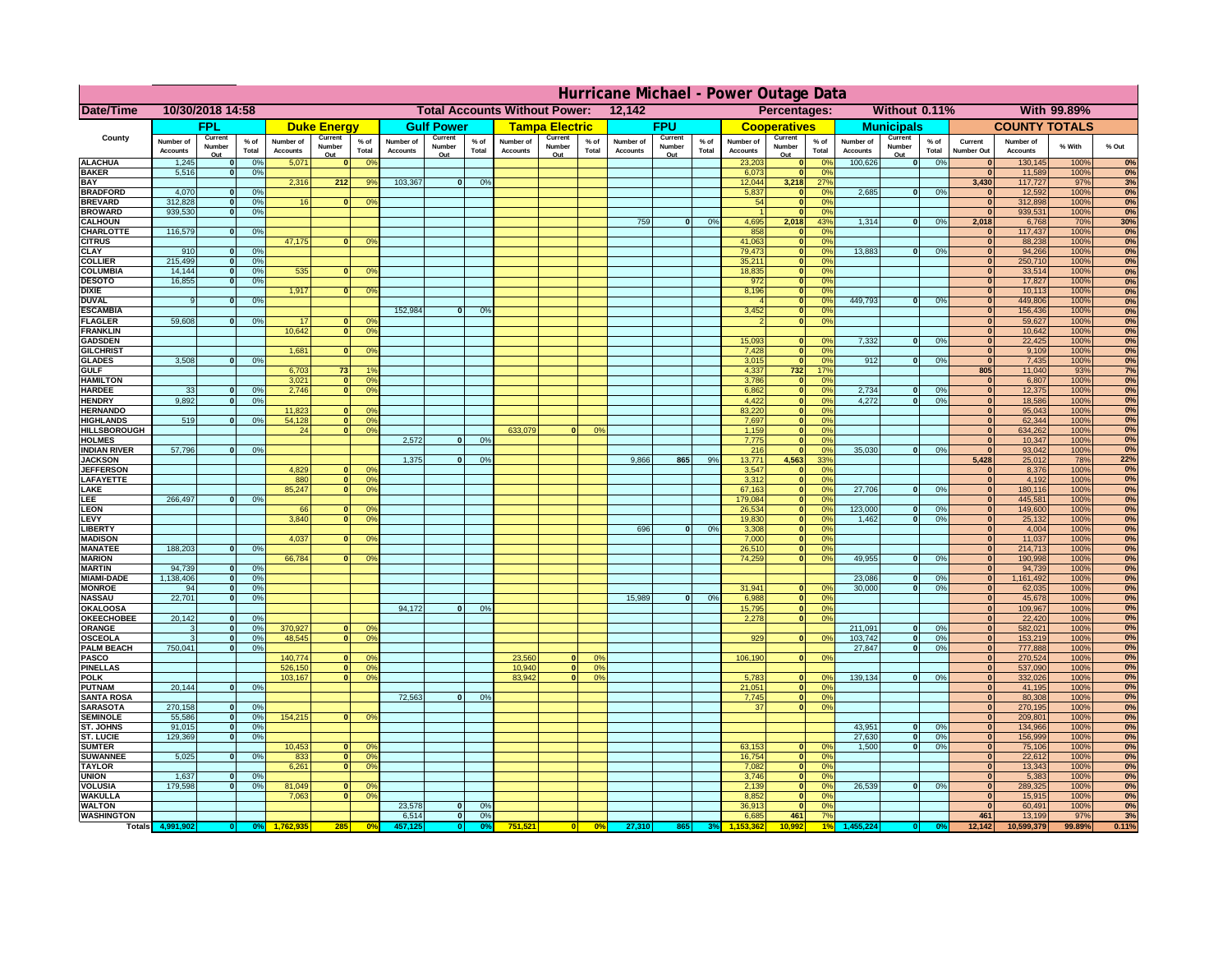|                                      | Hurricane Michael - Power Outage Data |                             |                 |                              |                                                |                                                         |                              |                          |                |                              |                                              |                  |                       |                          |                 |                              |                          |                 |                              |                          |                 |                              |                              |              |           |
|--------------------------------------|---------------------------------------|-----------------------------|-----------------|------------------------------|------------------------------------------------|---------------------------------------------------------|------------------------------|--------------------------|----------------|------------------------------|----------------------------------------------|------------------|-----------------------|--------------------------|-----------------|------------------------------|--------------------------|-----------------|------------------------------|--------------------------|-----------------|------------------------------|------------------------------|--------------|-----------|
| Date/Time                            | 10/30/2018 14:58                      |                             |                 |                              | <b>Total Accounts Without Power:</b><br>12,142 |                                                         |                              |                          |                |                              | Without 0.11%<br>With 99.89%<br>Percentages: |                  |                       |                          |                 |                              |                          |                 |                              |                          |                 |                              |                              |              |           |
|                                      |                                       | FPL                         |                 |                              | <b>Duke Energy</b>                             |                                                         |                              | <b>Gulf Power</b>        |                |                              | <b>Tampa Electric</b>                        |                  |                       | <b>FPU</b>               |                 |                              | <b>Cooperatives</b>      |                 |                              | <b>Municipals</b>        |                 |                              | <b>COUNTY TOTALS</b>         |              |           |
| County                               | Number of<br><b>Accounts</b>          | Current<br>Number<br>Out    | $%$ of<br>Total | Number of<br><b>Accounts</b> | Current<br>Number<br>Out                       | $%$ of<br>Total                                         | Number of<br><b>Accounts</b> | Current<br>Number<br>Out | % of<br>Total  | Number of<br><b>Accounts</b> | Current<br>Number<br>Out                     | $%$ of<br>Total  | Number of<br>Accounts | Current<br>Number<br>Out | $%$ of<br>Total | Number of<br><b>Accounts</b> | Current<br>Number<br>Out | $%$ of<br>Total | Number of<br><b>Accounts</b> | Current<br>Number<br>Out | $%$ of<br>Total | Current<br><b>Number Out</b> | Number of<br><b>Accounts</b> | % With       | % Out     |
| <b>ALACHUA</b>                       | 1,245                                 | $\mathbf{0}$                | 0%              | 5,071                        | $\mathbf{0}$                                   | 0 <sup>9</sup>                                          |                              |                          |                |                              |                                              |                  |                       |                          |                 | 23,203                       | 0                        | 0 <sup>9</sup>  | 100,626                      | 0                        | 0%              | $\bf{0}$                     | 130,145                      | 100%         | 0%        |
| <b>BAKER</b>                         | 5,516                                 | 0                           | 0%              |                              |                                                |                                                         |                              |                          |                |                              |                                              |                  |                       |                          |                 | 6,073                        | 0                        | 0%              |                              |                          |                 | $\overline{0}$               | 11,589                       | 100%         | 0%        |
| <b>BAY</b><br><b>BRADFORD</b>        | 4,070                                 | $\mathbf{0}$                | 0%              | 2,316                        | 212                                            | 9%                                                      | 103,367                      | 0                        | 0%             |                              |                                              |                  |                       |                          |                 | 12,044<br>5,837              | 3,218<br> 0              | 27%<br>0%       | 2,685                        | 0                        | 0%              | 3,430<br>$\bf{0}$            | 117,727<br>12,592            | 97%<br>100%  | 3%<br>0%  |
| <b>BREVARD</b>                       | 312,828                               | 0                           | 0%              | 16                           | 0                                              | 0 <sup>o</sup>                                          |                              |                          |                |                              |                                              |                  |                       |                          |                 | 54                           | 0                        | 0%              |                              |                          |                 | 0                            | 312,898                      | 100%         | 0%        |
| <b>BROWARD</b>                       | 939.530                               | 0                           | 0%              |                              |                                                |                                                         |                              |                          |                |                              |                                              |                  |                       |                          |                 |                              | 0                        | 0%              |                              |                          |                 | $\bf{0}$                     | 939,531                      | 100%         | 0%        |
| <b>CALHOUN</b><br>CHARLOTTE          | 116,579                               | 0                           | 0%              |                              |                                                |                                                         |                              |                          |                |                              |                                              |                  | 759                   | $\mathbf{0}$             | 0%              | 4,695<br>858                 | 2,018                    | 43%<br>0%       | 1,314                        | 0                        | 0%              | 2,018                        | 6,768<br>117,437             | 70%<br>100%  | 30%<br>0% |
| <b>CITRUS</b>                        |                                       |                             |                 | 47,175                       | $\mathbf{0}$                                   | 0 <sup>o</sup>                                          |                              |                          |                |                              |                                              |                  |                       |                          |                 | 41,063                       | 0 <br> 0                 | 0 <sup>9</sup>  |                              |                          |                 | $\bf{0}$                     | 88,238                       | 100%         | 0%        |
| <b>CLAY</b>                          | 910                                   | $\mathbf{0}$                | 0%              |                              |                                                |                                                         |                              |                          |                |                              |                                              |                  |                       |                          |                 | 79,473                       | 0                        | 0%              | 13,883                       | $\mathbf{0}$             | 0%              | $\bf{0}$                     | 94,266                       | 100%         | 0%        |
| <b>COLLIER</b>                       | 215,499                               | $\mathbf{0}$                | 0 <sup>9</sup>  |                              |                                                |                                                         |                              |                          |                |                              |                                              |                  |                       |                          |                 | 35,211                       | 0                        | 0%              |                              |                          |                 | $\bf{0}$                     | 250,710                      | 100%         | 0%        |
| <b>COLUMBIA</b><br><b>DESOTO</b>     | 14,144<br>16,855                      | $\mathbf 0$<br>$\mathbf{0}$ | 0%<br>0%        | 535                          | $\mathbf{0}$                                   | 0 <sup>9</sup>                                          |                              |                          |                |                              |                                              |                  |                       |                          |                 | 18,835<br>972                | 0 <br> 0                 | 0%<br>0%        |                              |                          |                 | $\bf{0}$<br>$\bf{0}$         | 33,514<br>17,827             | 100%<br>100% | 0%<br>0%  |
| <b>DIXIE</b>                         |                                       |                             |                 | 1,917                        | $\Omega$                                       | 0 <sup>9</sup>                                          |                              |                          |                |                              |                                              |                  |                       |                          |                 | 8,196                        | 0                        | 0%              |                              |                          |                 | $\Omega$                     | 10,113                       | 100%         | 0%        |
| <b>DUVAL</b>                         | 9                                     | $\Omega$                    | 0%              |                              |                                                |                                                         |                              |                          |                |                              |                                              |                  |                       |                          |                 |                              | 0                        | 0%              | 449.793                      | $\overline{\mathbf{0}}$  | 0%              | $\Omega$                     | 449,806                      | 100%         | 0%        |
| <b>ESCAMBIA</b>                      |                                       |                             |                 |                              |                                                |                                                         | 152,984                      | $\mathbf{0}$             | 0 <sup>9</sup> |                              |                                              |                  |                       |                          |                 | 3,452                        | 0                        | 0%              |                              |                          |                 | $\Omega$                     | 156,436                      | 100%         | 0%        |
| <b>FLAGLER</b><br><b>FRANKLIN</b>    | 59,608                                | $\overline{0}$              | 0%              | 17<br>10,642                 | $\bf{0}$<br> 0                                 | 0 <sup>o</sup><br>0 <sup>9</sup>                        |                              |                          |                |                              |                                              |                  |                       |                          |                 |                              | 0                        | 0%              |                              |                          |                 | $\bf{0}$<br>$\overline{0}$   | 59,627<br>10,642             | 100%<br>100% | 0%<br>0%  |
| <b>GADSDEN</b>                       |                                       |                             |                 |                              |                                                |                                                         |                              |                          |                |                              |                                              |                  |                       |                          |                 | 15,093                       | $\mathbf{0}$             | 0%              | 7,332                        | 0                        | 0%              | $\overline{0}$               | 22,425                       | 100%         | 0%        |
| <b>GILCHRIST</b>                     |                                       |                             |                 | 1,681                        | $\Omega$                                       | 0 <sup>9</sup>                                          |                              |                          |                |                              |                                              |                  |                       |                          |                 | 7,428                        | 0                        | 0%              |                              |                          |                 | $\hat{\mathbf{0}}$           | 9,109                        | 100%         | 0%        |
| <b>GLADES</b><br><b>GULF</b>         | 3,508                                 | 0                           | 0%              |                              | 73                                             | 1 <sup>c</sup>                                          |                              |                          |                |                              |                                              |                  |                       |                          |                 | 3,015                        | 0                        | 0%<br>17%       | 912                          | $\overline{0}$           | 0%              | 0 <br>805                    | 7,435                        | 100%<br>93%  | 0%        |
| <b>HAMILTON</b>                      |                                       |                             |                 | 6,703<br>3,021               |                                                | $\overline{0}$<br>0 <sup>9</sup>                        |                              |                          |                |                              |                                              |                  |                       |                          |                 | 4,337<br>3,786               | $732$<br> 0              | 0%              |                              |                          |                 | 0                            | 11,040<br>6,807              | 100%         | 7%<br>0%  |
| <b>HARDEE</b>                        | 33                                    | $\overline{0}$              | 0%              | 2.746                        |                                                | 0 <br>0 <sup>9</sup>                                    |                              |                          |                |                              |                                              |                  |                       |                          |                 | 6.862                        | 0                        | 0%              | 2.734                        | $\mathbf{0}$             | 0%              | 0                            | 12,375                       | 100%         | 0%        |
| <b>HENDRY</b>                        | 9,892                                 | $\Omega$                    | 0%              |                              |                                                |                                                         |                              |                          |                |                              |                                              |                  |                       |                          |                 | 4,422                        | 0                        | 0%              | 4,272                        | $\Omega$                 | 0%              | 0                            | 18,586                       | 100%         | 0%        |
| <b>HERNANDO</b><br><b>HIGHLANDS</b>  | 519                                   | $\mathbf{0}$                |                 | 11,823<br>54,128             |                                                | 0 <sup>9</sup><br>$\mathbf{0}$<br> 0 <br>0 <sup>9</sup> |                              |                          |                |                              |                                              |                  |                       |                          |                 | 83,220<br>7,697              | 0 <br> 0                 | 0%<br>0%        |                              |                          |                 | 0 <br> 0                     | 95,043<br>62,344             | 100%<br>100% | 0%<br>0%  |
| <b>HILLSBOROUGH</b>                  |                                       |                             | 0 <sup>9</sup>  | 24                           |                                                | 0 <br>0 <sup>9</sup>                                    |                              |                          |                | 633,079                      |                                              | 0%               |                       |                          |                 | 1,159                        | 0                        | 0%              |                              |                          |                 | 0                            | 634,262                      | 100%         | 0%        |
| <b>HOLMES</b>                        |                                       |                             |                 |                              |                                                |                                                         | 2.572                        | $\mathbf{0}$             | 0%             |                              |                                              |                  |                       |                          |                 | 7,775                        | 0                        | 0%              |                              |                          |                 | 0                            | 10,347                       | 100%         | 0%        |
| <b>INDIAN RIVER</b>                  | 57,796                                | $\mathbf{0}$                | 0%              |                              |                                                |                                                         |                              |                          |                |                              |                                              |                  |                       |                          |                 | 216                          | 0                        | 0%              | 35,030                       | $\mathbf{0}$             | 0%              | 0                            | 93,042                       | 100%         | 0%        |
| <b>JACKSON</b><br><b>JEFFERSON</b>   |                                       |                             |                 | 4.829                        |                                                | n l<br>0 <sup>9</sup>                                   | 1.375                        | $\mathbf{0}$             | 0 <sup>9</sup> |                              |                                              |                  | 9.866                 | 865                      | 9%              | 13.771<br>3.547              | 4.563<br> 0              | 33%<br>0%       |                              |                          |                 | 5.428<br>$\mathbf{0}$        | 25,012<br>8.376              | 78%<br>100%  | 22%<br>0% |
| LAFAYETTE                            |                                       |                             |                 | 880                          |                                                | 0 <br>0 <sup>9</sup>                                    |                              |                          |                |                              |                                              |                  |                       |                          |                 | 3.312                        | 0                        | 0%              |                              |                          |                 | 0                            | 4,192                        | 100%         | 0%        |
| LAKE                                 |                                       |                             |                 | 85,247                       |                                                | $\mathbf{0}$<br>0 <sup>9</sup>                          |                              |                          |                |                              |                                              |                  |                       |                          |                 | 67,163                       | 0                        | 0%              | 27,706                       | $\Omega$                 | 0%              | 0                            | 180,116                      | 100%         | 0%        |
| EE.                                  | 266,497                               | $\Omega$                    | 0%              |                              |                                                |                                                         |                              |                          |                |                              |                                              |                  |                       |                          |                 | 179,084                      | 0                        | 0%              |                              |                          |                 | 0                            | 445,581                      | 100%         | 0%        |
| LEON<br>LEVY                         |                                       |                             |                 | 66<br>3,840                  | $\Omega$                                       | $\mathbf{0}$<br>0 <sup>o</sup><br>0 <sup>9</sup>        |                              |                          |                |                              |                                              |                  |                       |                          |                 | 26,534<br>19,830             | 0 <br> 0                 | 0%<br>0%        | 123,000<br>1,462             | $\mathbf{0}$<br>0        | 0%<br>0%        | 0 <br> 0                     | 149,600<br>25,132            | 100%<br>100% | 0%<br>0%  |
| LIBERTY                              |                                       |                             |                 |                              |                                                |                                                         |                              |                          |                |                              |                                              |                  | 696                   | $\Omega$                 | 0%              | 3,308                        | 0                        | 0%              |                              |                          |                 | 0                            | 4,004                        | 100%         | 0%        |
| <b>MADISON</b>                       |                                       |                             |                 | 4,037                        | $\Omega$                                       | 0 <sup>9</sup>                                          |                              |                          |                |                              |                                              |                  |                       |                          |                 | 7,000                        | 0                        | 0%              |                              |                          |                 | 0                            | 11,037                       | 100%         | 0%        |
| <b>MANATEE</b>                       | 188,203                               | 0                           | 0%              |                              |                                                |                                                         |                              |                          |                |                              |                                              |                  |                       |                          |                 | 26,510                       | 0                        | 0%              |                              |                          |                 | 0                            | 214,713                      | 100%         | 0%        |
| <b>MARION</b><br><b>MARTIN</b>       | 94,739                                | 0                           | 0%              | 66,784                       | $\Omega$                                       | 0 <sup>9</sup>                                          |                              |                          |                |                              |                                              |                  |                       |                          |                 | 74,259                       | 0                        | 0%              | 49,955                       | $\Omega$                 | 0%              | 0 <br> 0                     | 190,998<br>94,739            | 100%<br>100% | 0%<br>0%  |
| <b>MIAMI-DADE</b>                    | 1,138,406                             | 0                           | 0%              |                              |                                                |                                                         |                              |                          |                |                              |                                              |                  |                       |                          |                 |                              |                          |                 | 23,086                       | $\mathbf{0}$             | 0%              | 0                            | 1,161,492                    | 100%         | 0%        |
| <b>MONROE</b>                        | 94                                    | 0                           | 0%              |                              |                                                |                                                         |                              |                          |                |                              |                                              |                  |                       |                          |                 | 31,941                       | $\overline{0}$           | 0 <sup>9</sup>  | 30,000                       | 0                        | 0%              | 0                            | 62,035                       | 100%         | 0%        |
| <b>NASSAU</b>                        | 22,701                                | 0                           | 0%              |                              |                                                |                                                         |                              |                          |                |                              |                                              |                  | 15,989                | 0                        | 0%              | 6,988                        | 0                        | 0%              |                              |                          |                 | 0                            | 45,678                       | 100%         | 0%        |
| <b>OKALOOSA</b><br><b>OKEECHOBEE</b> | 20,142                                | 0                           | 0%              |                              |                                                |                                                         | 94,172                       | $\mathbf{0}$             | 0%             |                              |                                              |                  |                       |                          |                 | 15,795<br>2,278              | 0                        | 0%<br>0%<br> 0  |                              |                          |                 | 0 <br> 0                     | 109,967<br>22,420            | 100%<br>100% | 0%<br>0%  |
| ORANGE                               | 3                                     | 0                           | 0%              | 370,927                      |                                                | 0 <br>0 <sup>o</sup>                                    |                              |                          |                |                              |                                              |                  |                       |                          |                 |                              |                          |                 | 211,091                      | $\mathbf{0}$             | 0%              | 0                            | 582,021                      | 100%         | 0%        |
| <b>OSCEOLA</b>                       | 3                                     | 0                           | 0%              | 48,545                       |                                                | 0 <sup>9</sup><br> 0                                    |                              |                          |                |                              |                                              |                  |                       |                          |                 | 929                          |                          | 0 <br>0%        | 103,742                      | 0                        | 0%              | 0                            | 153,219                      | 100%         | 0%        |
| <b>PALM BEACH</b>                    | 750,041                               |                             | 0 <br>0%        |                              |                                                |                                                         |                              |                          |                |                              |                                              |                  |                       |                          |                 |                              |                          |                 | 27,847                       | $\overline{\mathbf{0}}$  | 0%              | 0                            | 777,888                      | 100%         | 0%        |
| PASCO<br><b>PINELLAS</b>             |                                       |                             |                 | 140,774<br>526,150           |                                                | 0 <sup>9</sup><br>$\Omega$<br>0 <sup>9</sup><br> 0      |                              |                          |                | 23,560<br>10,940             | $\Omega$<br> 0                               | $^{\circ}$<br>0% |                       |                          |                 | 106,190                      |                          | 0 <br>0%        |                              |                          |                 | 0 <br>$\mathbf{0}$           | 270,524<br>537,090           | 100%<br>100% | 0%<br>0%  |
| <b>POLK</b>                          |                                       |                             |                 | 103,167                      |                                                | 0 <sup>9</sup><br> 0                                    |                              |                          |                | 83,942                       | $\mathbf{a}$                                 | 0%               |                       |                          |                 | 5,783                        | 0                        | $\Omega$        | 139,134                      | 0                        | 0%              | 0                            | 332,026                      | 100%         | 0%        |
| <b>PUTNAM</b>                        | 20,144                                | 0                           | 0%              |                              |                                                |                                                         |                              |                          |                |                              |                                              |                  |                       |                          |                 | 21,051                       | $\ddot{\textbf{0}}$      | 0%              |                              |                          |                 | $\bf{0}$                     | 41,195                       | 100%         | 0%        |
| <b>SANTA ROSA</b>                    |                                       |                             |                 |                              |                                                |                                                         | 72,563                       | 0                        | 0%             |                              |                                              |                  |                       |                          |                 | 7,745                        | 0                        | 0%<br>0%        |                              |                          |                 | $\mathbf{0}$<br> 0           | 80,308                       | 100%         | 0%        |
| <b>SARASOTA</b><br><b>SEMINOLE</b>   | 270,158<br>55,586                     | 0 <br> 0                    | 0%<br>0%        | 154,215                      |                                                | $\mathbf{0}$<br>0 <sup>9</sup>                          |                              |                          |                |                              |                                              |                  |                       |                          |                 | 37                           |                          | 0               |                              |                          |                 | 0                            | 270,195<br>209,801           | 100%<br>100% | 0%<br>0%  |
| ST. JOHNS                            | 91,015                                | 0                           | 0%              |                              |                                                |                                                         |                              |                          |                |                              |                                              |                  |                       |                          |                 |                              |                          |                 | 43,951                       | -ol                      | 0%              | 0                            | 134,966                      | 100%         | 0%        |
| <b>ST. LUCIE</b>                     | 129.369                               | $\overline{0}$              | 0%              |                              |                                                |                                                         |                              |                          |                |                              |                                              |                  |                       |                          |                 |                              |                          |                 | 27.630                       | - O I                    | 0%              | 0                            | 156,999                      | 100%         | 0%        |
| <b>SUMTER</b>                        |                                       |                             |                 | 10,453                       |                                                | 0 <br>0 <sup>9</sup>                                    |                              |                          |                |                              |                                              |                  |                       |                          |                 | 63,153                       | 0                        | 0%              | 1.500                        | 0                        | 0%              | 0 <br>$\mathbf{0}$           | 75,106                       | 100%         | 0%        |
| <b>SUWANNEE</b><br><b>TAYLOR</b>     | 5,025                                 | 0                           | 0%              | 833<br>6,261                 | 0                                              | 0 <sup>o</sup><br> 0 <br>0 <sup>9</sup>                 |                              |                          |                |                              |                                              |                  |                       |                          |                 | 16,754<br>7,082              | 0 <br> 0                 | 0%<br>0%        |                              |                          |                 | $\bf{0}$                     | 22,612<br>13,343             | 100%<br>100% | 0%<br>0%  |
| <b>UNION</b>                         | 1,637                                 | $\mathbf{0}$                | 0%              |                              |                                                |                                                         |                              |                          |                |                              |                                              |                  |                       |                          |                 | 3,746                        | 0                        | 0%              |                              |                          |                 | $\bf{0}$                     | 5,383                        | 100%         | 0%        |
| <b>VOLUSIA</b>                       | 179,598                               | 0                           | 0%              | 81,049                       | $\mathbf{0}$                                   | $\mathbf{0}$                                            |                              |                          |                |                              |                                              |                  |                       |                          |                 | 2,139                        | 0                        | 0%              | 26,539                       | 0                        | 0%              | $\bf{0}$                     | 289,325                      | 100%         | 0%        |
| <b>WAKULLA</b><br><b>WALTON</b>      |                                       |                             |                 | 7,063                        | $\mathbf{0}$                                   | 0 <sup>9</sup>                                          | 23,578                       | $\mathbf{0}$             | 0%             |                              |                                              |                  |                       |                          |                 | 8,852<br>36,913              | 0 <br> 0                 | 0%<br>0%        |                              |                          |                 | $\mathbf{0}$<br> 0           | 15,915<br>60,491             | 100%<br>100% | 0%<br>0%  |
| <b>WASHINGTON</b>                    |                                       |                             |                 |                              |                                                |                                                         | 6,514                        | 0                        | 0%             |                              |                                              |                  |                       |                          |                 | 6,685                        | 461                      | 7%              |                              |                          |                 | 461                          | 13,199                       | 97%          | 3%        |
| <b>Totals</b>                        |                                       |                             |                 |                              | 285                                            | 0 <sup>6</sup>                                          |                              | $\bullet$                |                | 751,521                      | 0                                            | 0%               | 27,310                | 865                      |                 |                              | 0.992                    |                 |                              |                          |                 | 12,142                       | 10,599,379                   | 99.89%       | 0.11%     |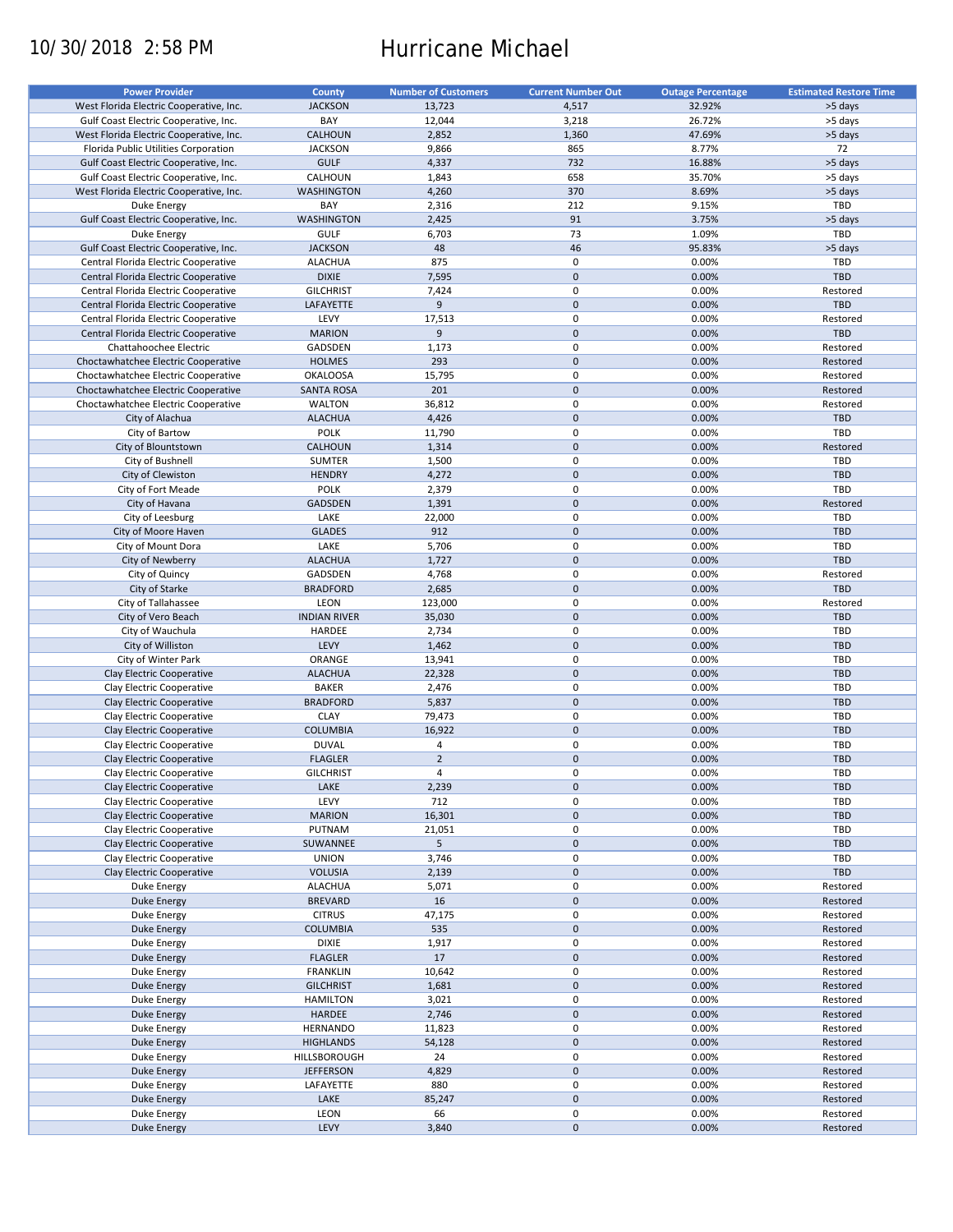# 10/30/2018 2:58 PM Hurricane Michael

| <b>Power Provider</b>                   | <b>County</b>       | <b>Number of Customers</b> | <b>Current Number Out</b> |                          | <b>Estimated Restore Time</b> |
|-----------------------------------------|---------------------|----------------------------|---------------------------|--------------------------|-------------------------------|
|                                         |                     |                            |                           | <b>Outage Percentage</b> |                               |
| West Florida Electric Cooperative, Inc. | <b>JACKSON</b>      | 13,723                     | 4,517                     | 32.92%                   | >5 days                       |
| Gulf Coast Electric Cooperative, Inc.   | BAY                 | 12,044                     | 3,218                     | 26.72%                   | >5 days                       |
| West Florida Electric Cooperative, Inc. | <b>CALHOUN</b>      | 2,852                      | 1,360                     | 47.69%                   | >5 days                       |
| Florida Public Utilities Corporation    | <b>JACKSON</b>      | 9,866                      | 865                       | 8.77%                    | 72                            |
| Gulf Coast Electric Cooperative, Inc.   | <b>GULF</b>         | 4,337                      | 732                       | 16.88%                   | >5 days                       |
|                                         | CALHOUN             |                            | 658                       |                          |                               |
| Gulf Coast Electric Cooperative, Inc.   |                     | 1,843                      |                           | 35.70%                   | >5 days                       |
| West Florida Electric Cooperative, Inc. | <b>WASHINGTON</b>   | 4,260                      | 370                       | 8.69%                    | >5 days                       |
| Duke Energy                             | BAY                 | 2,316                      | 212                       | 9.15%                    | TBD                           |
| Gulf Coast Electric Cooperative, Inc.   | <b>WASHINGTON</b>   | 2,425                      | 91                        | 3.75%                    | >5 days                       |
| Duke Energy                             | GULF                | 6,703                      | 73                        | 1.09%                    | TBD                           |
| Gulf Coast Electric Cooperative, Inc.   | <b>JACKSON</b>      | 48                         | 46                        | 95.83%                   | >5 days                       |
| Central Florida Electric Cooperative    | <b>ALACHUA</b>      | 875                        | 0                         | 0.00%                    | TBD                           |
|                                         | <b>DIXIE</b>        | 7,595                      | $\pmb{0}$                 | 0.00%                    | TBD                           |
| Central Florida Electric Cooperative    |                     |                            |                           |                          |                               |
| Central Florida Electric Cooperative    | <b>GILCHRIST</b>    | 7,424                      | $\mathbf 0$               | 0.00%                    | Restored                      |
| Central Florida Electric Cooperative    | LAFAYETTE           | 9                          | $\mathbf 0$               | 0.00%                    | <b>TBD</b>                    |
| Central Florida Electric Cooperative    | LEVY                | 17,513                     | $\mathbf 0$               | 0.00%                    | Restored                      |
| Central Florida Electric Cooperative    | <b>MARION</b>       | 9                          | $\pmb{0}$                 | 0.00%                    | <b>TBD</b>                    |
| Chattahoochee Electric                  | GADSDEN             | 1,173                      | $\mathbf 0$               | 0.00%                    | Restored                      |
| Choctawhatchee Electric Cooperative     | <b>HOLMES</b>       | 293                        | $\mathbf 0$               | 0.00%                    | Restored                      |
|                                         |                     |                            | $\mathbf 0$               |                          |                               |
| Choctawhatchee Electric Cooperative     | <b>OKALOOSA</b>     | 15,795                     |                           | 0.00%                    | Restored                      |
| Choctawhatchee Electric Cooperative     | <b>SANTA ROSA</b>   | 201                        | $\mathbf 0$               | 0.00%                    | Restored                      |
| Choctawhatchee Electric Cooperative     | <b>WALTON</b>       | 36,812                     | 0                         | 0.00%                    | Restored                      |
| City of Alachua                         | <b>ALACHUA</b>      | 4,426                      | $\mathbf 0$               | 0.00%                    | TBD                           |
| City of Bartow                          | <b>POLK</b>         | 11,790                     | 0                         | 0.00%                    | TBD                           |
| City of Blountstown                     | CALHOUN             | 1,314                      | $\mathbf 0$               | 0.00%                    | Restored                      |
| City of Bushnell                        | SUMTER              | 1,500                      | 0                         | 0.00%                    | TBD                           |
|                                         |                     |                            | $\pmb{0}$                 |                          | <b>TBD</b>                    |
| City of Clewiston                       | <b>HENDRY</b>       | 4,272                      |                           | 0.00%                    |                               |
| City of Fort Meade                      | POLK                | 2,379                      | 0                         | 0.00%                    | TBD                           |
| City of Havana                          | <b>GADSDEN</b>      | 1,391                      | $\mathbf 0$               | 0.00%                    | Restored                      |
| City of Leesburg                        | LAKE                | 22,000                     | 0                         | 0.00%                    | TBD                           |
| City of Moore Haven                     | <b>GLADES</b>       | 912                        | $\mathbf 0$               | 0.00%                    | <b>TBD</b>                    |
| City of Mount Dora                      | LAKE                | 5,706                      | 0                         | 0.00%                    | TBD                           |
| City of Newberry                        | <b>ALACHUA</b>      | 1,727                      | $\pmb{0}$                 | 0.00%                    | <b>TBD</b>                    |
| City of Quincy                          | GADSDEN             | 4,768                      | 0                         | 0.00%                    | Restored                      |
|                                         |                     |                            |                           |                          |                               |
| City of Starke                          | <b>BRADFORD</b>     | 2,685                      | $\pmb{0}$                 | 0.00%                    | <b>TBD</b>                    |
| City of Tallahassee                     | <b>LEON</b>         | 123,000                    | 0                         | 0.00%                    | Restored                      |
| City of Vero Beach                      | <b>INDIAN RIVER</b> | 35,030                     | $\mathbf 0$               | 0.00%                    | <b>TBD</b>                    |
| City of Wauchula                        | HARDEE              | 2,734                      | $\pmb{0}$                 | 0.00%                    | TBD                           |
| City of Williston                       | LEVY                | 1,462                      | $\mathbf 0$               | 0.00%                    | <b>TBD</b>                    |
| City of Winter Park                     | ORANGE              | 13,941                     | $\pmb{0}$                 | 0.00%                    | TBD                           |
| Clay Electric Cooperative               | <b>ALACHUA</b>      | 22,328                     | $\pmb{0}$                 | 0.00%                    | <b>TBD</b>                    |
|                                         |                     |                            |                           |                          |                               |
| Clay Electric Cooperative               | <b>BAKER</b>        | 2,476                      | 0                         | 0.00%                    | <b>TBD</b>                    |
| Clay Electric Cooperative               | <b>BRADFORD</b>     | 5,837                      | $\pmb{0}$                 | 0.00%                    | <b>TBD</b>                    |
| Clay Electric Cooperative               | <b>CLAY</b>         | 79,473                     | $\mathbf 0$               | 0.00%                    | <b>TBD</b>                    |
| Clay Electric Cooperative               | <b>COLUMBIA</b>     | 16,922                     | $\mathbf 0$               | 0.00%                    | <b>TBD</b>                    |
| Clay Electric Cooperative               | <b>DUVAL</b>        | $\overline{4}$             | 0                         | 0.00%                    | <b>TBD</b>                    |
| Clay Electric Cooperative               | <b>FLAGLER</b>      | $\mathbf 2$                | $\mathbf 0$               | 0.00%                    | <b>TBD</b>                    |
| Clay Electric Cooperative               | <b>GILCHRIST</b>    | $\overline{4}$             | $\mathbf 0$               | 0.00%                    | TBD                           |
|                                         |                     |                            |                           |                          |                               |
| Clay Electric Cooperative               | LAKE                | 2,239                      | $\pmb{0}$                 | 0.00%                    | <b>TBD</b>                    |
| Clay Electric Cooperative               | LEVY                | 712                        | 0                         | 0.00%                    | TBD                           |
| Clay Electric Cooperative               | <b>MARION</b>       | 16,301                     | $\pmb{0}$                 | 0.00%                    | TBD                           |
| Clay Electric Cooperative               | PUTNAM              | 21,051                     | 0                         | 0.00%                    | TBD                           |
| Clay Electric Cooperative               | SUWANNEE            | 5                          | $\pmb{0}$                 | 0.00%                    | <b>TBD</b>                    |
| Clay Electric Cooperative               | <b>UNION</b>        | 3,746                      | 0                         | 0.00%                    | TBD                           |
| Clay Electric Cooperative               | <b>VOLUSIA</b>      | 2,139                      | $\pmb{0}$                 | 0.00%                    | TBD                           |
|                                         |                     |                            |                           |                          |                               |
| Duke Energy                             | <b>ALACHUA</b>      | 5,071                      | 0                         | 0.00%                    | Restored                      |
| <b>Duke Energy</b>                      | <b>BREVARD</b>      | 16                         | $\pmb{0}$                 | 0.00%                    | Restored                      |
| Duke Energy                             | <b>CITRUS</b>       | 47,175                     | 0                         | 0.00%                    | Restored                      |
| Duke Energy                             | <b>COLUMBIA</b>     | 535                        | $\pmb{0}$                 | 0.00%                    | Restored                      |
| Duke Energy                             | <b>DIXIE</b>        | 1,917                      | 0                         | 0.00%                    | Restored                      |
| Duke Energy                             | <b>FLAGLER</b>      | 17                         | $\pmb{0}$                 | 0.00%                    | Restored                      |
| Duke Energy                             | <b>FRANKLIN</b>     | 10,642                     | 0                         | 0.00%                    | Restored                      |
|                                         |                     |                            | $\pmb{0}$                 |                          |                               |
| <b>Duke Energy</b>                      | <b>GILCHRIST</b>    | 1,681                      |                           | 0.00%                    | Restored                      |
| Duke Energy                             | <b>HAMILTON</b>     | 3,021                      | $\pmb{0}$                 | 0.00%                    | Restored                      |
| <b>Duke Energy</b>                      | HARDEE              | 2,746                      | $\pmb{0}$                 | 0.00%                    | Restored                      |
| Duke Energy                             | <b>HERNANDO</b>     | 11,823                     | 0                         | 0.00%                    | Restored                      |
| <b>Duke Energy</b>                      | <b>HIGHLANDS</b>    | 54,128                     | $\pmb{0}$                 | 0.00%                    | Restored                      |
| Duke Energy                             | HILLSBOROUGH        | 24                         | 0                         | 0.00%                    | Restored                      |
| Duke Energy                             | <b>JEFFERSON</b>    | 4,829                      | $\pmb{0}$                 | 0.00%                    | Restored                      |
|                                         | LAFAYETTE           | 880                        | 0                         | 0.00%                    | Restored                      |
| Duke Energy                             |                     |                            |                           |                          |                               |
| Duke Energy                             | LAKE                | 85,247                     | $\pmb{0}$                 | 0.00%                    | Restored                      |
| Duke Energy                             | LEON                | 66                         | 0                         | 0.00%                    | Restored                      |
| Duke Energy                             | LEVY                | 3,840                      | $\mathbf 0$               | 0.00%                    | Restored                      |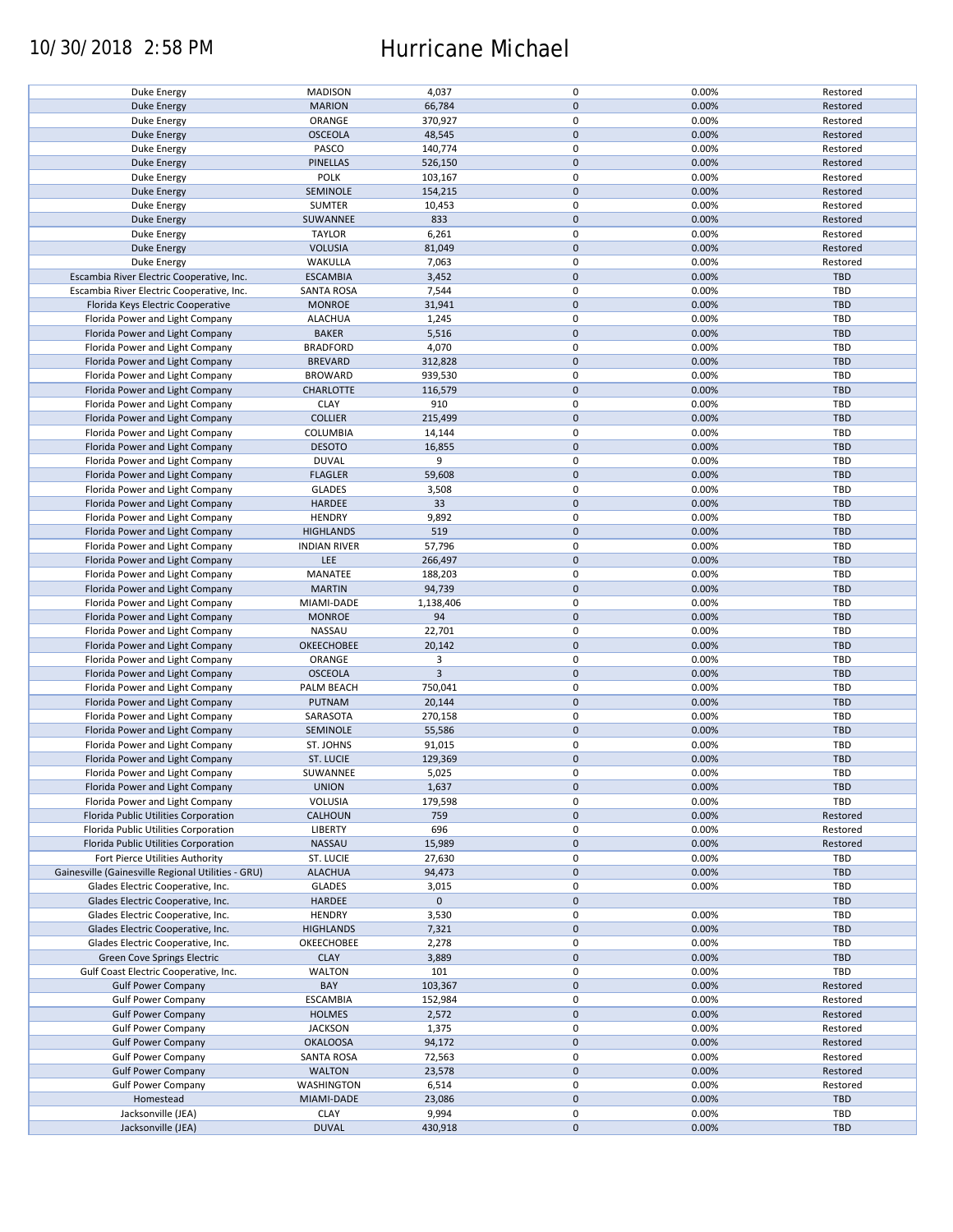## 10/30/2018 2:58 PM Hurricane Michael

| Duke Energy                                        | <b>MADISON</b>      | 4,037          | 0           | 0.00% | Restored   |
|----------------------------------------------------|---------------------|----------------|-------------|-------|------------|
| <b>Duke Energy</b>                                 | <b>MARION</b>       | 66,784         | $\mathbf 0$ | 0.00% | Restored   |
|                                                    |                     |                |             |       |            |
| Duke Energy                                        | ORANGE              | 370,927        | 0           | 0.00% | Restored   |
| Duke Energy                                        | <b>OSCEOLA</b>      | 48,545         | $\mathbf 0$ | 0.00% | Restored   |
| Duke Energy                                        | PASCO               | 140,774        | 0           | 0.00% | Restored   |
|                                                    |                     |                |             |       |            |
| Duke Energy                                        | PINELLAS            | 526,150        | $\mathbf 0$ | 0.00% | Restored   |
| Duke Energy                                        | <b>POLK</b>         | 103,167        | $\mathbf 0$ | 0.00% | Restored   |
| Duke Energy                                        | SEMINOLE            | 154,215        | $\mathbf 0$ | 0.00% | Restored   |
|                                                    |                     |                |             |       |            |
| Duke Energy                                        | <b>SUMTER</b>       | 10,453         | 0           | 0.00% | Restored   |
| <b>Duke Energy</b>                                 | SUWANNEE            | 833            | $\mathbf 0$ | 0.00% | Restored   |
| Duke Energy                                        | <b>TAYLOR</b>       | 6,261          | 0           | 0.00% | Restored   |
|                                                    |                     |                |             |       |            |
| <b>Duke Energy</b>                                 | <b>VOLUSIA</b>      | 81,049         | $\mathbf 0$ | 0.00% | Restored   |
| Duke Energy                                        | WAKULLA             | 7,063          | 0           | 0.00% | Restored   |
| Escambia River Electric Cooperative, Inc.          | <b>ESCAMBIA</b>     | 3,452          | $\mathbf 0$ | 0.00% | <b>TBD</b> |
|                                                    |                     |                |             |       |            |
| Escambia River Electric Cooperative, Inc.          | <b>SANTA ROSA</b>   | 7,544          | $\mathbf 0$ | 0.00% | <b>TBD</b> |
| Florida Keys Electric Cooperative                  | <b>MONROE</b>       | 31,941         | $\mathbf 0$ | 0.00% | <b>TBD</b> |
| Florida Power and Light Company                    | <b>ALACHUA</b>      | 1,245          | $\mathbf 0$ | 0.00% | <b>TBD</b> |
|                                                    |                     |                |             |       |            |
| Florida Power and Light Company                    | <b>BAKER</b>        | 5,516          | $\mathbf 0$ | 0.00% | <b>TBD</b> |
| Florida Power and Light Company                    | <b>BRADFORD</b>     | 4,070          | $\pmb{0}$   | 0.00% | <b>TBD</b> |
|                                                    |                     |                | $\mathbf 0$ |       |            |
| Florida Power and Light Company                    | <b>BREVARD</b>      | 312,828        |             | 0.00% | <b>TBD</b> |
| Florida Power and Light Company                    | <b>BROWARD</b>      | 939,530        | $\pmb{0}$   | 0.00% | <b>TBD</b> |
| Florida Power and Light Company                    | <b>CHARLOTTE</b>    | 116,579        | $\mathbf 0$ | 0.00% | <b>TBD</b> |
|                                                    |                     |                |             |       |            |
| Florida Power and Light Company                    | <b>CLAY</b>         | 910            | $\mathbf 0$ | 0.00% | <b>TBD</b> |
| Florida Power and Light Company                    | <b>COLLIER</b>      | 215,499        | $\mathbf 0$ | 0.00% | <b>TBD</b> |
| Florida Power and Light Company                    | COLUMBIA            | 14,144         | 0           | 0.00% | <b>TBD</b> |
|                                                    |                     |                |             |       |            |
| Florida Power and Light Company                    | <b>DESOTO</b>       | 16,855         | $\mathbf 0$ | 0.00% | <b>TBD</b> |
| Florida Power and Light Company                    | <b>DUVAL</b>        | 9              | 0           | 0.00% | <b>TBD</b> |
|                                                    |                     |                | $\pmb{0}$   |       | <b>TBD</b> |
| Florida Power and Light Company                    | <b>FLAGLER</b>      | 59,608         |             | 0.00% |            |
| Florida Power and Light Company                    | <b>GLADES</b>       | 3,508          | 0           | 0.00% | <b>TBD</b> |
| Florida Power and Light Company                    | <b>HARDEE</b>       | 33             | $\pmb{0}$   | 0.00% | <b>TBD</b> |
|                                                    |                     |                |             |       |            |
| Florida Power and Light Company                    | <b>HENDRY</b>       | 9,892          | $\pmb{0}$   | 0.00% | TBD        |
| Florida Power and Light Company                    | <b>HIGHLANDS</b>    | 519            | $\mathbf 0$ | 0.00% | <b>TBD</b> |
| Florida Power and Light Company                    | <b>INDIAN RIVER</b> | 57,796         | 0           | 0.00% | <b>TBD</b> |
|                                                    |                     |                |             |       |            |
| Florida Power and Light Company                    | LEE                 | 266,497        | $\mathbf 0$ | 0.00% | <b>TBD</b> |
| Florida Power and Light Company                    | MANATEE             | 188,203        | 0           | 0.00% | TBD        |
| Florida Power and Light Company                    | <b>MARTIN</b>       | 94,739         | $\mathbf 0$ | 0.00% | <b>TBD</b> |
|                                                    |                     |                |             |       |            |
| Florida Power and Light Company                    | MIAMI-DADE          | 1,138,406      | $\pmb{0}$   | 0.00% | <b>TBD</b> |
| Florida Power and Light Company                    | <b>MONROE</b>       | 94             | $\mathbf 0$ | 0.00% | <b>TBD</b> |
|                                                    |                     |                | $\pmb{0}$   |       |            |
| Florida Power and Light Company                    | NASSAU              | 22,701         |             | 0.00% | TBD        |
| Florida Power and Light Company                    | OKEECHOBEE          | 20,142         | $\mathbf 0$ | 0.00% | <b>TBD</b> |
| Florida Power and Light Company                    | ORANGE              | 3              | $\mathbf 0$ | 0.00% | <b>TBD</b> |
|                                                    |                     |                |             |       |            |
| Florida Power and Light Company                    | <b>OSCEOLA</b>      | $\overline{3}$ | $\mathbf 0$ | 0.00% | <b>TBD</b> |
| Florida Power and Light Company                    | PALM BEACH          | 750,041        | $\pmb{0}$   | 0.00% | <b>TBD</b> |
| Florida Power and Light Company                    | PUTNAM              | 20,144         | $\mathbf 0$ | 0.00% | <b>TBD</b> |
|                                                    |                     |                |             |       |            |
| Florida Power and Light Company                    | SARASOTA            | 270,158        | $\mathbf 0$ | 0.00% | TBD        |
| Florida Power and Light Company                    | SEMINOLE            | 55,586         | $\mathbf 0$ | 0.00% | <b>TBD</b> |
| Florida Power and Light Company                    | ST. JOHNS           | 91,015         | 0           | 0.00% | <b>TBD</b> |
|                                                    |                     |                |             |       |            |
| Florida Power and Light Company                    | <b>ST. LUCIE</b>    | 129,369        | $\mathbf 0$ | 0.00% | <b>TBD</b> |
| Florida Power and Light Company                    | SUWANNEE            | 5,025          | $\mathbf 0$ | 0.00% | TBD        |
|                                                    |                     |                |             |       |            |
| Florida Power and Light Company                    | <b>UNION</b>        | 1,637          | $\pmb{0}$   | 0.00% | <b>TBD</b> |
| Florida Power and Light Company                    | VOLUSIA             | 179,598        | 0           | 0.00% | TBD        |
| Florida Public Utilities Corporation               | <b>CALHOUN</b>      | 759            | $\mathbf 0$ | 0.00% | Restored   |
|                                                    |                     |                |             |       |            |
| Florida Public Utilities Corporation               | <b>LIBERTY</b>      | 696            | 0           | 0.00% | Restored   |
| Florida Public Utilities Corporation               | NASSAU              | 15,989         | $\mathbf 0$ | 0.00% | Restored   |
| Fort Pierce Utilities Authority                    | ST. LUCIE           | 27,630         | 0           | 0.00% | <b>TBD</b> |
|                                                    |                     |                |             |       |            |
| Gainesville (Gainesville Regional Utilities - GRU) | <b>ALACHUA</b>      | 94,473         | $\mathbf 0$ | 0.00% | <b>TBD</b> |
| Glades Electric Cooperative, Inc.                  | <b>GLADES</b>       | 3,015          | 0           | 0.00% | <b>TBD</b> |
| Glades Electric Cooperative, Inc.                  | HARDEE              | $\mathbf 0$    | $\mathbf 0$ |       | <b>TBD</b> |
|                                                    |                     |                |             |       |            |
| Glades Electric Cooperative, Inc.                  | <b>HENDRY</b>       | 3,530          | 0           | 0.00% | <b>TBD</b> |
| Glades Electric Cooperative, Inc.                  | <b>HIGHLANDS</b>    | 7,321          | $\pmb{0}$   | 0.00% | <b>TBD</b> |
| Glades Electric Cooperative, Inc.                  |                     |                |             |       |            |
|                                                    | OKEECHOBEE          | 2,278          | $\pmb{0}$   | 0.00% | <b>TBD</b> |
| Green Cove Springs Electric                        | <b>CLAY</b>         | 3,889          | $\mathbf 0$ | 0.00% | <b>TBD</b> |
| Gulf Coast Electric Cooperative, Inc.              | <b>WALTON</b>       | 101            | 0           | 0.00% | TBD        |
|                                                    |                     |                |             |       |            |
| <b>Gulf Power Company</b>                          | BAY                 | 103,367        | $\pmb{0}$   | 0.00% | Restored   |
| <b>Gulf Power Company</b>                          | <b>ESCAMBIA</b>     | 152,984        | 0           | 0.00% | Restored   |
| <b>Gulf Power Company</b>                          | <b>HOLMES</b>       | 2,572          | $\pmb{0}$   | 0.00% | Restored   |
|                                                    |                     |                |             |       |            |
| <b>Gulf Power Company</b>                          | <b>JACKSON</b>      | 1,375          | $\pmb{0}$   | 0.00% | Restored   |
| <b>Gulf Power Company</b>                          | <b>OKALOOSA</b>     | 94,172         | $\pmb{0}$   | 0.00% | Restored   |
| <b>Gulf Power Company</b>                          | <b>SANTA ROSA</b>   | 72,563         | 0           | 0.00% | Restored   |
|                                                    |                     |                |             |       |            |
| <b>Gulf Power Company</b>                          | <b>WALTON</b>       | 23,578         | $\pmb{0}$   | 0.00% | Restored   |
| <b>Gulf Power Company</b>                          | WASHINGTON          | 6,514          | 0           | 0.00% | Restored   |
|                                                    |                     |                | $\pmb{0}$   |       | <b>TBD</b> |
| Homestead                                          | MIAMI-DADE          | 23,086         |             | 0.00% |            |
| Jacksonville (JEA)                                 | <b>CLAY</b>         | 9,994          | $\pmb{0}$   | 0.00% | <b>TBD</b> |
| Jacksonville (JEA)                                 | <b>DUVAL</b>        | 430,918        | $\pmb{0}$   | 0.00% | <b>TBD</b> |
|                                                    |                     |                |             |       |            |